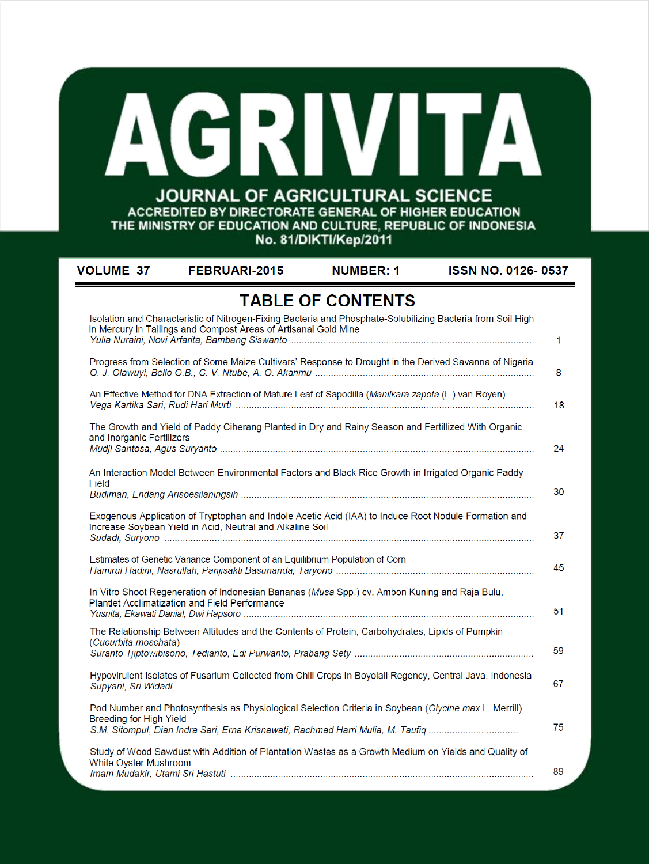

# **TABLE OF CONTENTS**

| Isolation and Characteristic of Nitrogen-Fixing Bacteria and Phosphate-Solubilizing Bacteria from Soil High<br>in Mercury in Tailings and Compost Areas of Artisanal Gold Mine                                             | 1  |
|----------------------------------------------------------------------------------------------------------------------------------------------------------------------------------------------------------------------------|----|
| Progress from Selection of Some Maize Cultivars' Response to Drought in the Derived Savanna of Nigeria                                                                                                                     | 8  |
| An Effective Method for DNA Extraction of Mature Leaf of Sapodilla (Manilkara zapota (L.) van Royen)                                                                                                                       | 18 |
| The Growth and Yield of Paddy Ciherang Planted in Dry and Rainy Season and Fertillized With Organic<br>and Inorganic Fertilizers                                                                                           | 24 |
| An Interaction Model Between Environmental Factors and Black Rice Growth in Irrigated Organic Paddy<br>Field                                                                                                               | 30 |
| Exogenous Application of Tryptophan and Indole Acetic Acid (IAA) to Induce Root Nodule Formation and<br>Increase Soybean Yield in Acid, Neutral and Alkaline Soil                                                          | 37 |
| Estimates of Genetic Variance Component of an Equilibrium Population of Corn                                                                                                                                               | 45 |
|                                                                                                                                                                                                                            |    |
| In Vitro Shoot Regeneration of Indonesian Bananas (Musa Spp.) cv. Ambon Kuning and Raja Bulu,<br>Plantlet Acclimatization and Field Performance                                                                            | 51 |
| The Relationship Between Altitudes and the Contents of Protein, Carbohydrates, Lipids of Pumpkin<br>(Cucurbita moschata)                                                                                                   | 59 |
| Hypovirulent Isolates of Fusarium Collected from Chili Crops in Boyolali Regency, Central Java, Indonesia                                                                                                                  | 67 |
| Pod Number and Photosynthesis as Physiological Selection Criteria in Soybean (Glycine max L. Merrill)<br><b>Breeding for High Yield</b><br>S.M. Sitompul, Dian Indra Sari, Erna Krisnawati, Rachmad Harri Mulia, M. Taufiq | 75 |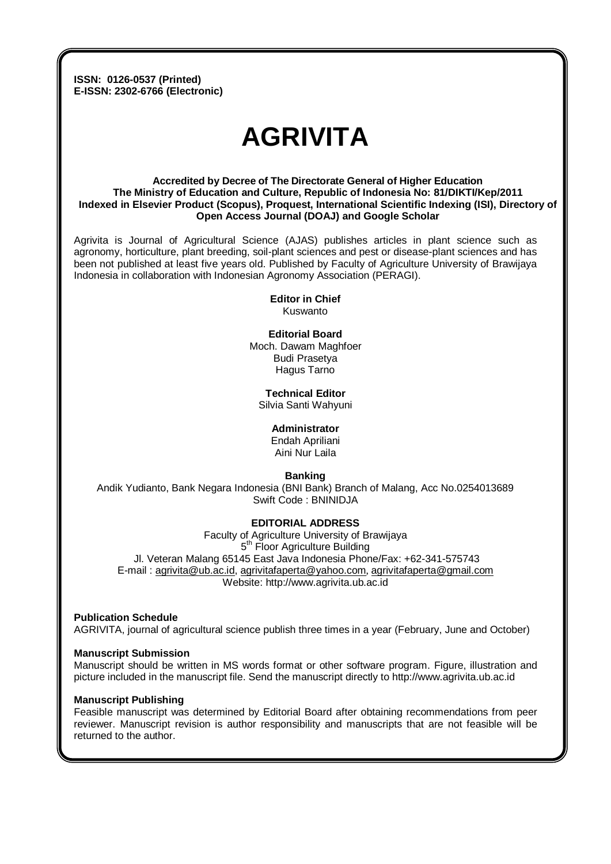**ISSN: 0126-0537 (Printed) E-ISSN: 2302-6766 (Electronic)**

# **AGRIVITA**

#### **Accredited by Decree of The Directorate General of Higher Education The Ministry of Education and Culture, Republic of Indonesia No: 81/DIKTI/Kep/2011 Indexed in Elsevier Product (Scopus), Proquest, International Scientific Indexing (ISI), Directory of Open Access Journal (DOAJ) and Google Scholar**

Agrivita is Journal of Agricultural Science (AJAS) publishes articles in plant science such as agronomy, horticulture, plant breeding, soil-plant sciences and pest or disease-plant sciences and has been not published at least five years old. Published by Faculty of Agriculture University of Brawijaya Indonesia in collaboration with Indonesian Agronomy Association (PERAGI).

> **Editor in Chief** Kuswanto

## **Editorial Board**

Moch. Dawam Maghfoer Budi Prasetya Hagus Tarno

**Technical Editor** Silvia Santi Wahyuni

**Administrator**

Endah Apriliani Aini Nur Laila

**Banking** 

Andik Yudianto, Bank Negara Indonesia (BNI Bank) Branch of Malang, Acc No.0254013689 Swift Code : BNINIDJA

### **EDITORIAL ADDRESS**

Faculty of Agriculture University of Brawijaya 5<sup>th</sup> Floor Agriculture Building Jl. Veteran Malang 65145 East Java Indonesia Phone/Fax: +62-341-575743 E-mail : [agrivita@ub.ac.id,](mailto:agrivita@ub.ac.id) [agrivitafaperta@yahoo.com](mailto:agrivitafaperta@yahoo.com), [agrivitafaperta@gmail.com](mailto:agrivitafaperta@gmail.com) Website: http://www.agrivita.ub.ac.id

**Publication Schedule** AGRIVITA, journal of agricultural science publish three times in a year (February, June and October)

### **Manuscript Submission**

Manuscript should be written in MS words format or other software program. Figure, illustration and picture included in the manuscript file. Send the manuscript directly to http://www.agrivita.ub.ac.id

### **Manuscript Publishing**

Feasible manuscript was determined by Editorial Board after obtaining recommendations from peer reviewer. Manuscript revision is author responsibility and manuscripts that are not feasible will be returned to the author.